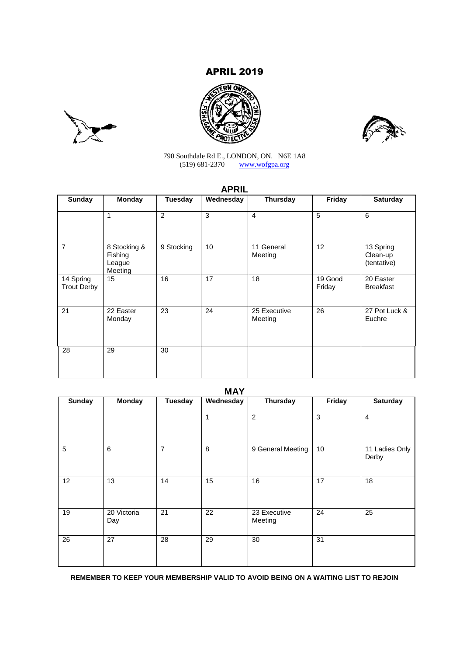# APRIL 2019







790 Southdale Rd E., LONDON, ON. N6E 1A8 (519) 681-2370 www.wofgpa.org

## **APRIL**

|                                 |                                              |                | .         |                         |                   |                                      |
|---------------------------------|----------------------------------------------|----------------|-----------|-------------------------|-------------------|--------------------------------------|
| <b>Sunday</b>                   | <b>Monday</b>                                | <b>Tuesday</b> | Wednesday | <b>Thursday</b>         | Friday            | <b>Saturday</b>                      |
|                                 | 1                                            | 2              | 3         | $\overline{4}$          | 5                 | 6                                    |
| $\overline{7}$                  | 8 Stocking &<br>Fishing<br>League<br>Meeting | 9 Stocking     | 10        | 11 General<br>Meeting   | 12                | 13 Spring<br>Clean-up<br>(tentative) |
| 14 Spring<br><b>Trout Derby</b> | 15                                           | 16             | 17        | 18                      | 19 Good<br>Friday | 20 Easter<br><b>Breakfast</b>        |
| 21                              | 22 Easter<br>Monday                          | 23             | 24        | 25 Executive<br>Meeting | 26                | 27 Pot Luck &<br>Euchre              |
| 28                              | 29                                           | 30             |           |                         |                   |                                      |

## **MAY**

| <b>Sunday</b>  | <b>Monday</b>      | Tuesday        | Wednesday       | Thursday                | Friday | <b>Saturday</b>         |
|----------------|--------------------|----------------|-----------------|-------------------------|--------|-------------------------|
|                |                    |                | 1               | $\overline{c}$          | 3      | $\overline{4}$          |
| $\overline{5}$ | 6                  | $\overline{7}$ | 8               | 9 General Meeting       | 10     | 11 Ladies Only<br>Derby |
| 12             | 13                 | 14             | 15              | 16                      | 17     | 18                      |
| 19             | 20 Victoria<br>Day | 21             | $\overline{22}$ | 23 Executive<br>Meeting | 24     | 25                      |
| 26             | 27                 | 28             | 29              | 30                      | 31     |                         |

**REMEMBER TO KEEP YOUR MEMBERSHIP VALID TO AVOID BEING ON A WAITING LIST TO REJOIN**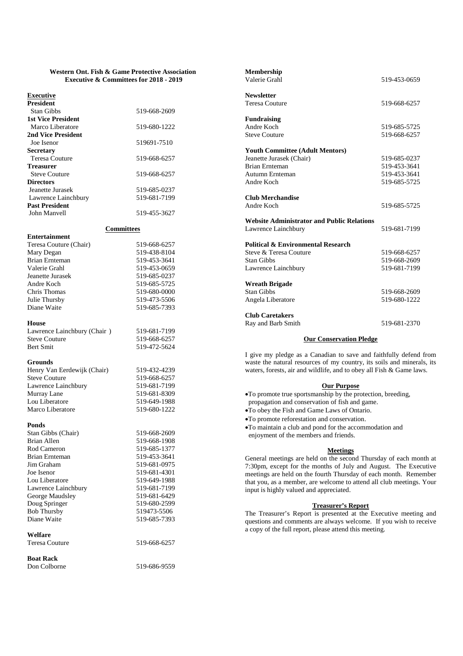#### **Western Ont. Fish & Game Protective Association Executive & Committees for 2018 - 2019**

## **Executive**

| <b>President</b>          |              |
|---------------------------|--------------|
| Stan Gibbs                | 519-668-2609 |
| <b>1st Vice President</b> |              |
| Marco Liberatore          | 519-680-1222 |
| 2nd Vice President        |              |
| Joe Isenor                | 519691-7510  |
| <b>Secretary</b>          |              |
| Teresa Couture            | 519-668-6257 |
| Treasurer                 |              |
| <b>Steve Couture</b>      | 519-668-6257 |
| <b>Directors</b>          |              |
| Jeanette Jurasek          | 519-685-0237 |
| Lawrence Lainchbury       | 519-681-7199 |
| <b>Past President</b>     |              |
| John Manvell              | 519-455-3627 |

## **Committees**

| Teresa Couture (Chair) | 519-668-6257 |
|------------------------|--------------|
| Mary Degan             | 519-438-8104 |
| <b>Brian Ernteman</b>  | 519-453-3641 |
| Valerie Grahl          | 519-453-0659 |
| Jeanette Jurasek       | 519-685-0237 |
| Andre Koch             | 519-685-5725 |
| Chris Thomas           | 519-680-0000 |
| Julie Thursby          | 519-473-5506 |
| Diane Waite            | 519-685-7393 |
|                        |              |

#### **House**

**Entertainment**

Lawrence Lainchbury (Chair ) 519-681-7199<br>Steve Couture 519-668-6257 Steve Couture<br>Bert Smit

#### **Grounds**

| Henry Van Eerdewijk (Chair) |  |
|-----------------------------|--|
| <b>Steve Couture</b>        |  |
| Lawrence Lainchbury         |  |
| Murray Lane                 |  |
| Lou Liberatore              |  |
| Marco Liberatore            |  |

#### **Ponds**

| Stan Gibbs (Chair)    | 519-668-2609 |
|-----------------------|--------------|
| Brian Allen           | 519-668-1908 |
| Rod Cameron           | 519-685-1377 |
| Brian Ernteman        | 519-453-3641 |
| Jim Graham            | 519-681-0975 |
| Joe Isenor            | 519-681-4301 |
| Lou Liberatore        | 519-649-1988 |
| Lawrence Lainchbury   | 519-681-7199 |
| George Maudsley       | 519-681-6429 |
| Doug Springer         | 519-680-2599 |
| <b>Bob Thursby</b>    | 519473-5506  |
| Diane Waite           | 519-685-7393 |
| Welfare               |              |
| <b>Teresa Couture</b> | 519-668-6257 |
| <b>Boat Rack</b>      |              |

**Membership** Valerie Grahl 519-453-0659 **Newsletter** Teresa Couture 519-668-6257 **Fundraising** 519-685-5725 Steve Couture 519-668-6257 **Youth Committee (Adult Mentors)** Jeanette Jurasek (Chair) 519-685-0237 Brian Ernteman 519-453-3641 Autumn Ernteman 519-453-3641<br>Andre Koch 519-685-5725 519-685-5725 **Club Merchandise** Andre Koch 519-685-5725 **Website Administrator and Public Relations** Lawrence Lainchbury 519-681-7199 **Political & Environmental Research** Steve & Teresa Couture 519-668-6257 Stan Gibbs 519-668-2609<br>Lawrence Lainchbury 519-681-7199 Lawrence Lainchbury **Wreath Brigade** Stan Gibbs 519-668-2609 Angela Liberatore 519-680-1222 **Club Caretakers** Ray and Barb Smith 519-681-2370

#### **Our Conservation Pledge**

I give my pledge as a Canadian to save and faithfully defend from waste the natural resources of my country, its soils and minerals, its waters, forests, air and wildlife, and to obey all Fish & Game laws.

#### **Our Purpose**

To promote true sportsmanship by the protection, breeding, propagation and conservation of fish and game.

To obey the Fish and Game Laws of Ontario.

To promote reforestation and conservation.

To maintain a club and pond for the accommodation and enjoyment of the members and friends.

#### **Meetings**

General meetings are held on the second Thursday of each month at 7:30pm, except for the months of July and August. The Executive meetings are held on the fourth Thursday of each month. Remember that you, as a member, are welcome to attend all club meetings. Your input is highly valued and appreciated.

## **Treasurer's Report**

The Treasurer's Report is presented at the Executive meeting and questions and comments are always welcome. If you wish to receive a copy of the full report, please attend this meeting.

Don Colborne 519-686-9559

519-472-5624

519-432-4239 519-668-6257 519-681-7199 519-681-8309 519-649-1988 519-680-1222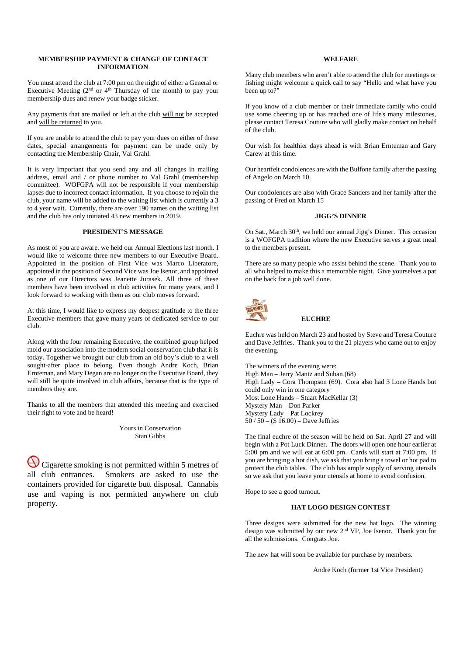## **MEMBERSHIP PAYMENT & CHANGE OF CONTACT INFORMATION**

You must attend the club at 7:00 pm on the night of either a General or Executive Meeting  $(2<sup>nd</sup>$  or  $4<sup>th</sup>$  Thursday of the month) to pay your membership dues and renew your badge sticker.

Any payments that are mailed or left at the club will not be accepted and will be returned to you.

If you are unable to attend the club to pay your dues on either of these dates, special arrangements for payment can be made only by contacting the Membership Chair, Val Grahl.

It is very important that you send any and all changes in mailing address, email and / or phone number to Val Grahl (membership committee). WOFGPA will not be responsible if your membership lapses due to incorrect contact information. If you choose to rejoin the club, your name will be added to the waiting list which is currently a 3 to 4 year wait. Currently, there are over 190 names on the waiting list and the club has only initiated 43 new members in 2019.

## **PRESIDENT'S MESSAGE**

As most of you are aware, we held our Annual Elections last month. I would like to welcome three new members to our Executive Board. Appointed in the position of First Vice was Marco Liberatore, appointed in the position of Second Vice was Joe Isenor, and appointed as one of our Directors was Jeanette Jurasek. All three of these members have been involved in club activities for many years, and I look forward to working with them as our club moves forward.

At this time, I would like to express my deepest gratitude to the three Executive members that gave many years of dedicated service to our club.

Along with the four remaining Executive, the combined group helped mold our association into the modern social conservation club that it is today. Together we brought our club from an old boy's club to a well sought-after place to belong. Even though Andre Koch, Brian Ernteman, and Mary Degan are no longer on the Executive Board, they will still be quite involved in club affairs, because that is the type of members they are.

Thanks to all the members that attended this meeting and exercised their right to vote and be heard!

> Yours in Conservation Stan Gibbs

Cigarette smoking is not permitted within 5 metres of all club entrances. Smokers are asked to use the containers provided for cigarette butt disposal. Cannabis use and vaping is not permitted anywhere on club property.

## **WELFARE**

Many club members who aren't able to attend the club for meetings or fishing might welcome a quick call to say "Hello and what have you been up to?"

If you know of a club member or their immediate family who could use some cheering up or has reached one of life's many milestones, please contact Teresa Couture who will gladly make contact on behalf of the club.

Our wish for healthier days ahead is with Brian Ernteman and Gary Carew at this time.

Our heartfelt condolences are with the Bulfone family after the passing of Angelo on March 10.

Our condolences are also with Grace Sanders and her family after the passing of Fred on March 15

## **JIGG'S DINNER**

On Sat., March  $30<sup>th</sup>$ , we held our annual Jigg's Dinner. This occasion is a WOFGPA tradition where the new Executive serves a great meal to the members present.

There are so many people who assist behind the scene. Thank you to all who helped to make this a memorable night. Give yourselves a pat on the back for a job well done.



#### **EUCHRE**

Euchre was held on March 23 and hosted by Steve and Teresa Couture and Dave Jeffries. Thank you to the 21 players who came out to enjoy the evening.

The winners of the evening were: High Man – Jerry Mantz and Suban (68) High Lady – Cora Thompson (69). Cora also had 3 Lone Hands but could only win in one category Most Lone Hands – Stuart MacKellar (3) Mystery Man – Don Parker Mystery Lady – Pat Lockrey 50 / 50 – (\$ 16.00) – Dave Jeffries

The final euchre of the season will be held on Sat. April 27 and will begin with a Pot Luck Dinner. The doors will open one hour earlier at 5:00 pm and we will eat at 6:00 pm. Cards will start at 7:00 pm. If you are bringing a hot dish, we ask that you bring a towel or hot pad to protect the club tables. The club has ample supply of serving utensils so we ask that you leave your utensils at home to avoid confusion.

Hope to see a good turnout.

## **HAT LOGO DESIGN CONTEST**

Three designs were submitted for the new hat logo. The winning design was submitted by our new 2nd VP, Joe Isenor. Thank you for all the submissions. Congrats Joe.

The new hat will soon be available for purchase by members.

Andre Koch (former 1st Vice President)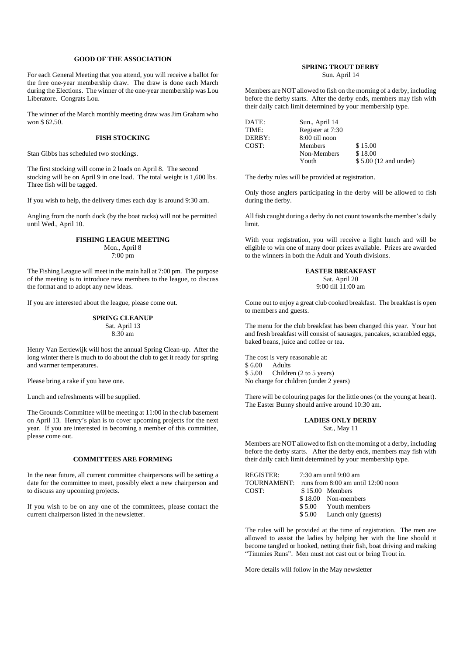### **GOOD OF THE ASSOCIATION**

For each General Meeting that you attend, you will receive a ballot for the free one-year membership draw. The draw is done each March during the Elections. The winner of the one-year membership was Lou Liberatore. Congrats Lou.

The winner of the March monthly meeting draw was Jim Graham who won \$ 62.50.

#### **FISH STOCKING**

Stan Gibbs has scheduled two stockings.

The first stocking will come in 2 loads on April 8. The second stocking will be on April 9 in one load. The total weight is 1,600 lbs. Three fish will be tagged.

If you wish to help, the delivery times each day is around 9:30 am.

Angling from the north dock (by the boat racks) will not be permitted until Wed., April 10.

#### **FISHING LEAGUE MEETING** Mon., April 8 7:00 pm

The Fishing League will meet in the main hall at 7:00 pm. The purpose of the meeting is to introduce new members to the league, to discuss the format and to adopt any new ideas.

If you are interested about the league, please come out.

#### **SPRING CLEANUP** Sat. April 13 8:30 am

Henry Van Eerdewijk will host the annual Spring Clean-up. After the long winter there is much to do about the club to get it ready for spring and warmer temperatures.

Please bring a rake if you have one.

Lunch and refreshments will be supplied.

The Grounds Committee will be meeting at 11:00 in the club basement on April 13. Henry's plan is to cover upcoming projects for the next year. If you are interested in becoming a member of this committee, please come out.

#### **COMMITTEES ARE FORMING**

In the near future, all current committee chairpersons will be setting a date for the committee to meet, possibly elect a new chairperson and to discuss any upcoming projects.

If you wish to be on any one of the committees, please contact the current chairperson listed in the newsletter.

# **SPRING TROUT DERBY**

Sun. April 14

Members are NOT allowed to fish on the morning of a derby, including before the derby starts. After the derby ends, members may fish with their daily catch limit determined by your membership type.

| DATE:  | Sun., April 14   |                       |
|--------|------------------|-----------------------|
| TIME:  | Register at 7:30 |                       |
| DERBY: | 8:00 till noon   |                       |
| COST:  | <b>Members</b>   | \$15.00               |
|        | Non-Members      | \$18.00               |
|        | Youth            | \$5.00 (12 and under) |

The derby rules will be provided at registration.

Only those anglers participating in the derby will be allowed to fish during the derby.

All fish caught during a derby do not count towards the member's daily limit.

With your registration, you will receive a light lunch and will be eligible to win one of many door prizes available. Prizes are awarded to the winners in both the Adult and Youth divisions.

### **EASTER BREAKFAST**

Sat. April 20 9:00 till 11:00 am

Come out to enjoy a great club cooked breakfast. The breakfast is open to members and guests.

The menu for the club breakfast has been changed this year. Your hot and fresh breakfast will consist of sausages, pancakes, scrambled eggs, baked beans, juice and coffee or tea.

The cost is very reasonable at: \$ 6.00 Adults<br>\$ 5.00 Childre Children (2 to 5 years) No charge for children (under 2 years)

There will be colouring pages for the little ones (or the young at heart). The Easter Bunny should arrive around 10:30 am.

### **LADIES ONLY DERBY** Sat., May 11

Members are NOT allowed to fish on the morning of a derby, including before the derby starts. After the derby ends, members may fish with their daily catch limit determined by your membership type.

| REGISTER: 7:30 am until 9:00 am |                                                |
|---------------------------------|------------------------------------------------|
|                                 | TOURNAMENT: runs from 8:00 am until 12:00 noon |
| COST:                           | $$15.00$ Members                               |
|                                 | \$18.00 Non-members                            |
|                                 | \$5.00 Youth members                           |
|                                 | $$5.00$ Lunch only (guests)                    |

The rules will be provided at the time of registration. The men are allowed to assist the ladies by helping her with the line should it become tangled or hooked, netting their fish, boat driving and making "Timmies Runs". Men must not cast out or bring Trout in.

More details will follow in the May newsletter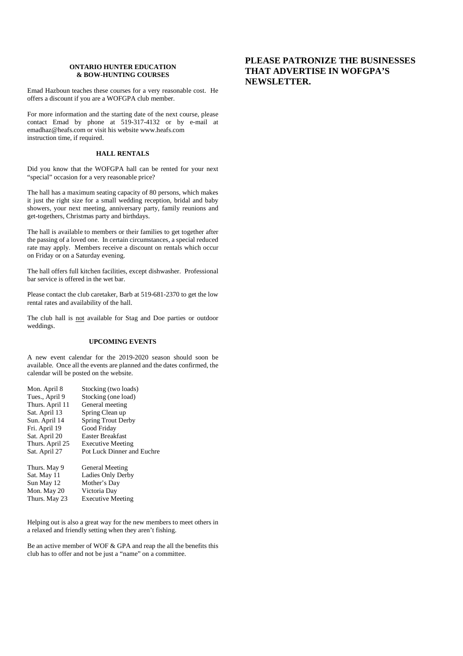## **ONTARIO HUNTER EDUCATION & BOW-HUNTING COURSES**

Emad Hazboun teaches these courses for a very reasonable cost. He offers a discount if you are a WOFGPA club member.

For more information and the starting date of the next course, please contact Emad by phone at 519-317-4132 or by e-mail at emadhaz@heafs.com or visit his website www.heafs.com instruction time, if required.

## **HALL RENTALS**

Did you know that the WOFGPA hall can be rented for your next "special" occasion for a very reasonable price?

The hall has a maximum seating capacity of 80 persons, which makes it just the right size for a small wedding reception, bridal and baby showers, your next meeting, anniversary party, family reunions and get-togethers, Christmas party and birthdays.

The hall is available to members or their families to get together after the passing of a loved one. In certain circumstances, a special reduced rate may apply. Members receive a discount on rentals which occur on Friday or on a Saturday evening.

The hall offers full kitchen facilities, except dishwasher. Professional bar service is offered in the wet bar.

Please contact the club caretaker, Barb at 519-681-2370 to get the low rental rates and availability of the hall.

The club hall is not available for Stag and Doe parties or outdoor weddings.

## **UPCOMING EVENTS**

A new event calendar for the 2019-2020 season should soon be available. Once all the events are planned and the dates confirmed, the calendar will be posted on the website.

| Mon. April 8    | Stocking (two loads)       |
|-----------------|----------------------------|
| Tues., April 9  | Stocking (one load)        |
| Thurs. April 11 | General meeting            |
| Sat. April 13   | Spring Clean up            |
| Sun. April 14   | <b>Spring Trout Derby</b>  |
| Fri. April 19   | Good Friday                |
| Sat. April 20   | Easter Breakfast           |
| Thurs. April 25 | <b>Executive Meeting</b>   |
| Sat. April 27   | Pot Luck Dinner and Euchre |
| Thurs. May 9    | General Meeting            |
| Sat. May 11     | Ladies Only Derby          |
| Sun May 12      | Mother's Day               |
| Mon. May 20     | Victoria Day               |
| Thurs. May 23   | <b>Executive Meeting</b>   |

Helping out is also a great way for the new members to meet others in a relaxed and friendly setting when they aren't fishing.

Be an active member of WOF & GPA and reap the all the benefits this club has to offer and not be just a "name" on a committee.

## **PLEASE PATRONIZE THE BUSINESSES THAT ADVERTISE IN WOFGPA'S NEWSLETTER.**